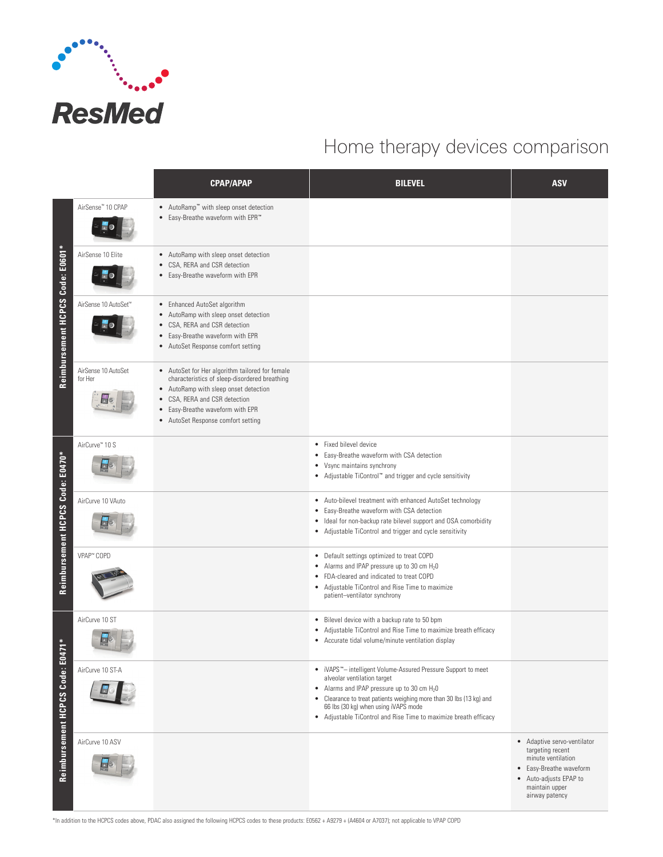

## Home therapy devices comparison

|                                  |                                  | <b>CPAP/APAP</b>                                                                                                                                                                                                                                     | <b>BILEVEL</b>                                                                                                                                                                                                                                                                                                                                                    | <b>ASV</b>                                                                                                                                                     |
|----------------------------------|----------------------------------|------------------------------------------------------------------------------------------------------------------------------------------------------------------------------------------------------------------------------------------------------|-------------------------------------------------------------------------------------------------------------------------------------------------------------------------------------------------------------------------------------------------------------------------------------------------------------------------------------------------------------------|----------------------------------------------------------------------------------------------------------------------------------------------------------------|
| Reimbursement HCPCS Code: E0601* | AirSense™ 10 CPAP                | • AutoRamp" with sleep onset detection<br>• Easy-Breathe waveform with EPR <sup>™</sup>                                                                                                                                                              |                                                                                                                                                                                                                                                                                                                                                                   |                                                                                                                                                                |
|                                  | AirSense 10 Elite                | • AutoRamp with sleep onset detection<br>• CSA, RERA and CSR detection<br>• Easy-Breathe waveform with EPR                                                                                                                                           |                                                                                                                                                                                                                                                                                                                                                                   |                                                                                                                                                                |
|                                  | AirSense 10 AutoSet <sup>™</sup> | • Enhanced AutoSet algorithm<br>• AutoRamp with sleep onset detection<br>• CSA, RERA and CSR detection<br>• Easy-Breathe waveform with EPR<br>• AutoSet Response comfort setting                                                                     |                                                                                                                                                                                                                                                                                                                                                                   |                                                                                                                                                                |
|                                  | AirSense 10 AutoSet<br>for Her   | • AutoSet for Her algorithm tailored for female<br>characteristics of sleep-disordered breathing<br>• AutoRamp with sleep onset detection<br>• CSA, RERA and CSR detection<br>• Easy-Breathe waveform with EPR<br>• AutoSet Response comfort setting |                                                                                                                                                                                                                                                                                                                                                                   |                                                                                                                                                                |
| Reimbursement HCPCS Code: E0470* | AirCurve <sup>™</sup> 10 S       |                                                                                                                                                                                                                                                      | • Fixed bilevel device<br>Easy-Breathe waveform with CSA detection<br>$\bullet$<br>• Vsync maintains synchrony<br>• Adjustable TiControl" and trigger and cycle sensitivity                                                                                                                                                                                       |                                                                                                                                                                |
|                                  | AirCurve 10 VAuto                |                                                                                                                                                                                                                                                      | Auto-bilevel treatment with enhanced AutoSet technology<br>$\bullet$<br>Easy-Breathe waveform with CSA detection<br>$\bullet$<br>Ideal for non-backup rate bilevel support and OSA comorbidity<br>٠<br>• Adjustable TiControl and trigger and cycle sensitivity                                                                                                   |                                                                                                                                                                |
|                                  | VPAP™ COPD                       |                                                                                                                                                                                                                                                      | • Default settings optimized to treat COPD<br>Alarms and IPAP pressure up to 30 cm $H_2O$<br>FDA-cleared and indicated to treat COPD<br>$\bullet$<br>• Adjustable TiControl and Rise Time to maximize<br>patient-ventilator synchrony                                                                                                                             |                                                                                                                                                                |
| Reimbursement HCPCS Code: E047   | AirCurve 10 ST<br>덕              |                                                                                                                                                                                                                                                      | • Bilevel device with a backup rate to 50 bpm<br>Adjustable TiControl and Rise Time to maximize breath efficacy<br>• Accurate tidal volume/minute ventilation display                                                                                                                                                                                             |                                                                                                                                                                |
|                                  | AirCurve 10 ST-A                 |                                                                                                                                                                                                                                                      | iVAPS <sup>"</sup> -intelligent Volume-Assured Pressure Support to meet<br>$\bullet$<br>alveolar ventilation target<br>• Alarms and IPAP pressure up to 30 cm H <sub>2</sub> 0<br>• Clearance to treat patients weighing more than 30 lbs (13 kg) and<br>66 lbs (30 kg) when using iVAPS mode<br>• Adjustable TiControl and Rise Time to maximize breath efficacy |                                                                                                                                                                |
|                                  | AirCurve 10 ASV                  |                                                                                                                                                                                                                                                      |                                                                                                                                                                                                                                                                                                                                                                   | • Adaptive servo-ventilator<br>targeting recent<br>minute ventilation<br>• Easy-Breathe waveform<br>• Auto-adjusts EPAP to<br>maintain upper<br>airway patency |

\*In addition to the HCPCS codes above, PDAC also assigned the following HCPCS codes to these products: E0562 + A9279 + (A4604 or A7037); not applicable to VPAP COPD